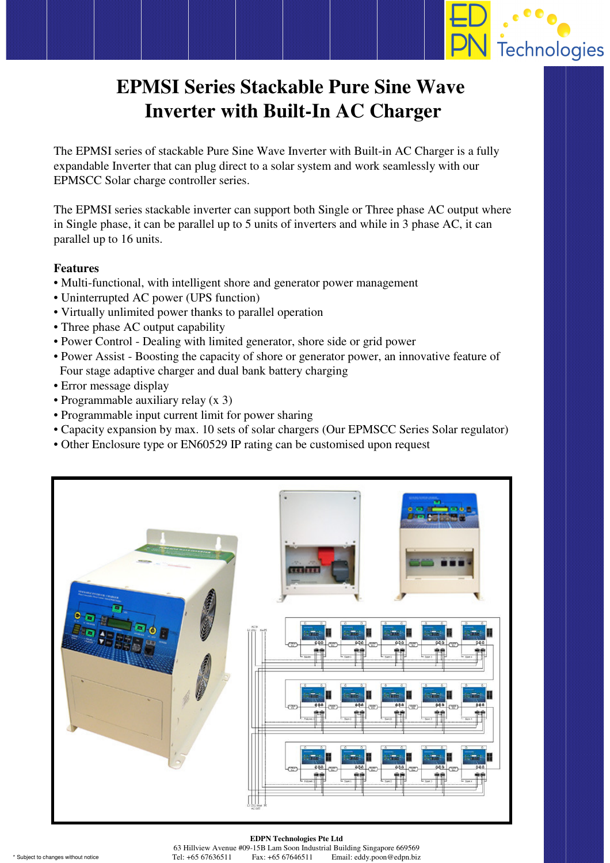

## **EPMSI Series Stackable Pure Sine Wave Inverter with Built-In AC Charger**

The EPMSI series of stackable Pure Sine Wave Inverter with Built-in AC Charger is a fully expandable Inverter that can plug direct to a solar system and work seamlessly with our EPMSCC Solar charge controller series.

The EPMSI series stackable inverter can support both Single or Three phase AC output where in Single phase, it can be parallel up to 5 units of inverters and while in 3 phase AC, it can parallel up to 16 units.

## **Features**

- Multi-functional, with intelligent shore and generator power management
- Uninterrupted AC power (UPS function)
- Virtually unlimited power thanks to parallel operation
- Three phase AC output capability
- Power Control Dealing with limited generator, shore side or grid power
- Power Assist Boosting the capacity of shore or generator power, an innovative feature of Four stage adaptive charger and dual bank battery charging
- Error message display
- Programmable auxiliary relay (x 3)
- Programmable input current limit for power sharing
- Capacity expansion by max. 10 sets of solar chargers (Our EPMSCC Series Solar regulator)
- Other Enclosure type or EN60529 IP rating can be customised upon request



## **EDPN Technologies Pte Ltd**

63 Hillview Avenue #09-15B Lam Soon Industrial Building Singapore 669569 \* Subject to changes without notice Tel: +65 67636511 Fax: +65 67646511 Email: eddy.poon@edpn.biz